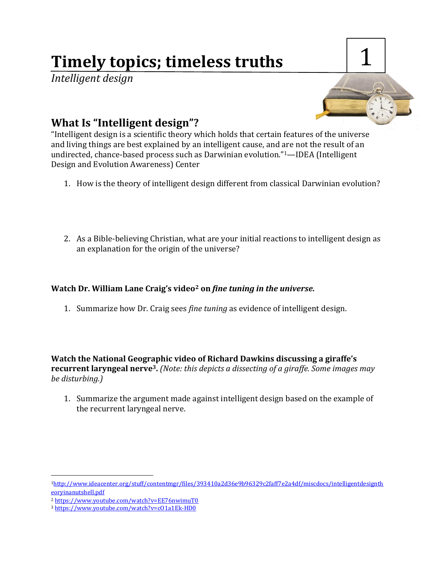# **Timely topics; timeless truths**

*Intelligent design*



## **What Is "Intelligent design"?**

"Intelligent design is a scientific theory which holds that certain features of the universe and living things are best explained by an intelligent cause, and are not the result of an undirected, chance-based process such as Darwinian evolution."1—IDEA (Intelligent Design and Evolution Awareness) Center

- 1. How is the theory of intelligent design different from classical Darwinian evolution?
- 2. As a Bible-believing Christian, what are your initial reactions to intelligent design as an explanation for the origin of the universe?

#### **Watch Dr. William Lane Craig's video<sup>2</sup> on** *fine tuning in the universe.*

1. Summarize how Dr. Craig sees *fine tuning* as evidence of intelligent design.

**Watch the National Geographic video of Richard Dawkins discussing a giraffe's recurrent laryngeal nerve3.** *(Note: this depicts a dissecting of a giraffe. Some images may be disturbing.)*

1. Summarize the argument made against intelligent design based on the example of the recurrent laryngeal nerve.

 $\overline{a}$ 

<sup>1</sup>[http://www.ideacenter.org/stuff/contentmgr/files/393410a2d36e9b96329c2faff7e2a4df/miscdocs/intelligentdesignth](http://www.ideacenter.org/stuff/contentmgr/files/393410a2d36e9b96329c2faff7e2a4df/miscdocs/intelligentdesigntheoryinanutshell.pdf) [eoryinanutshell.pdf](http://www.ideacenter.org/stuff/contentmgr/files/393410a2d36e9b96329c2faff7e2a4df/miscdocs/intelligentdesigntheoryinanutshell.pdf)

<sup>2</sup> <https://www.youtube.com/watch?v=EE76nwimuT0>

<sup>3</sup> <https://www.youtube.com/watch?v=cO1a1Ek-HD0>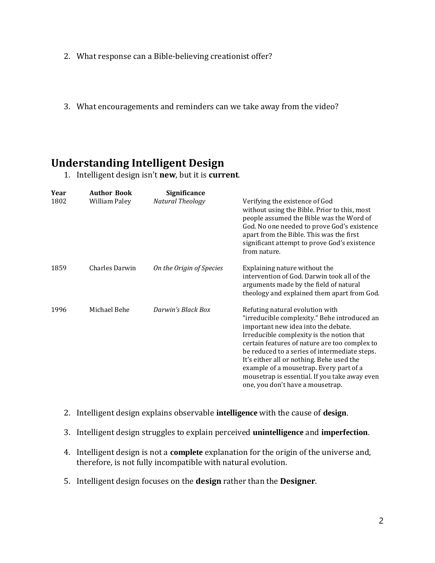- 2. What response can a Bible-believing creationist offer?
- 3. What encouragements and reminders can we take away from the video?

### **Understanding Intelligent Design**

1. Intelligent design isn't **new**, but it is **current**.

| Year | <b>Author Book</b> | <b>Significance</b>      |                                                                                                                                                                                                                                                                                                                                                                                                                                                    |
|------|--------------------|--------------------------|----------------------------------------------------------------------------------------------------------------------------------------------------------------------------------------------------------------------------------------------------------------------------------------------------------------------------------------------------------------------------------------------------------------------------------------------------|
| 1802 | William Paley      | Natural Theology         | Verifying the existence of God<br>without using the Bible. Prior to this, most<br>people assumed the Bible was the Word of<br>God. No one needed to prove God's existence<br>apart from the Bible. This was the first<br>significant attempt to prove God's existence<br>from nature.                                                                                                                                                              |
| 1859 | Charles Darwin     | On the Origin of Species | Explaining nature without the<br>intervention of God. Darwin took all of the<br>arguments made by the field of natural<br>theology and explained them apart from God.                                                                                                                                                                                                                                                                              |
| 1996 | Michael Behe       | Darwin's Black Box       | Refuting natural evolution with<br>"irreducible complexity." Behe introduced an<br>important new idea into the debate.<br>Irreducible complexity is the notion that<br>certain features of nature are too complex to<br>be reduced to a series of intermediate steps.<br>It's either all or nothing. Behe used the<br>example of a mousetrap. Every part of a<br>mousetrap is essential. If you take away even<br>one, you don't have a mousetrap. |

- 2. Intelligent design explains observable **intelligence** with the cause of **design**.
- 3. Intelligent design struggles to explain perceived **unintelligence** and **imperfection**.
- 4. Intelligent design is not a **complete** explanation for the origin of the universe and, therefore, is not fully incompatible with natural evolution.
- 5. Intelligent design focuses on the **design** rather than the **Designer**.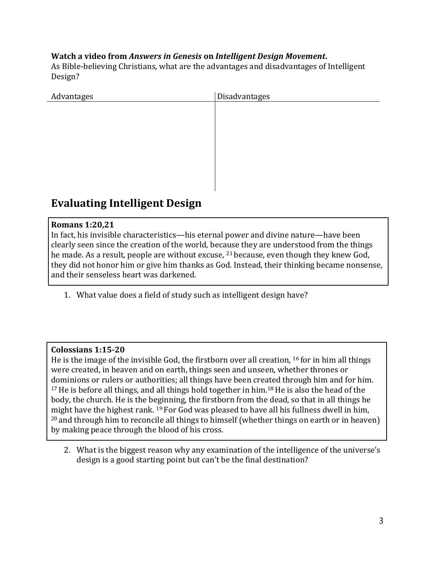#### **Watch a video from** *Answers in Genesis* **on** *Intelligent Design Movement***.**

As Bible-believing Christians, what are the advantages and disadvantages of Intelligent Design?

| Advantages | Disadvantages |
|------------|---------------|
|            |               |
|            |               |
|            |               |
|            |               |
|            |               |
|            |               |
|            |               |

## **Evaluating Intelligent Design**

#### **Romans 1:20,21**

In fact, his invisible characteristics—his eternal power and divine nature—have been clearly seen since the creation of the world, because they are understood from the things he made. As a result, people are without excuse, <sup>21</sup> because, even though they knew God, they did not honor him or give him thanks as God. Instead, their thinking became nonsense, and their senseless heart was darkened.

1. What value does a field of study such as intelligent design have?

#### **Colossians 1:15-20**

He is the image of the invisible God, the firstborn over all creation, <sup>16</sup> for in him all things were created, in heaven and on earth, things seen and unseen, whether thrones or dominions or rulers or authorities; all things have been created through him and for him. <sup>17</sup> He is before all things, and all things hold together in him.<sup>18</sup> He is also the head of the body, the church. He is the beginning, the firstborn from the dead, so that in all things he might have the highest rank. <sup>19</sup> For God was pleased to have all his fullness dwell in him,  $20$  and through him to reconcile all things to himself (whether things on earth or in heaven) by making peace through the blood of his cross.

2. What is the biggest reason why any examination of the intelligence of the universe's design is a good starting point but can't be the final destination?